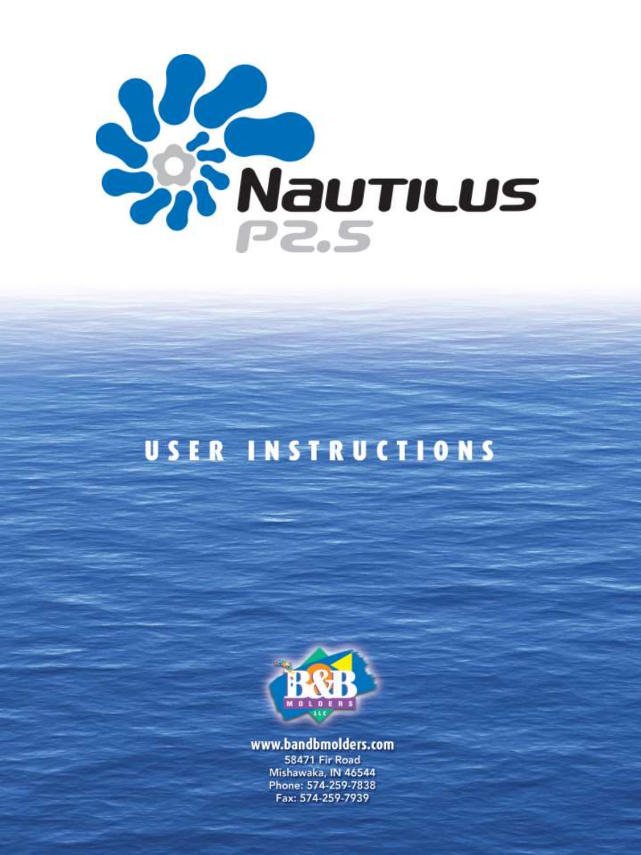



www.bandbmolders.com

**58471 Fir Road** Mishawaka, IN 46544 Phone: 574-259-7838 Fax: 574-259-7939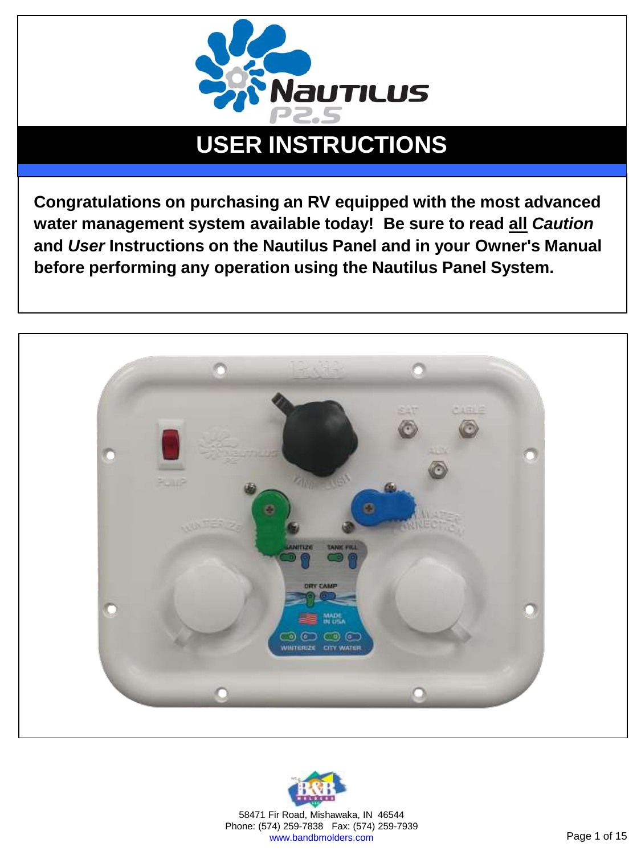

**Congratulations on purchasing an RV equipped with the most advanced water management system available today! Be sure to read all** *Caution* **and** *User* **Instructions on the Nautilus Panel and in your Owner's Manual before performing any operation using the Nautilus Panel System.** 



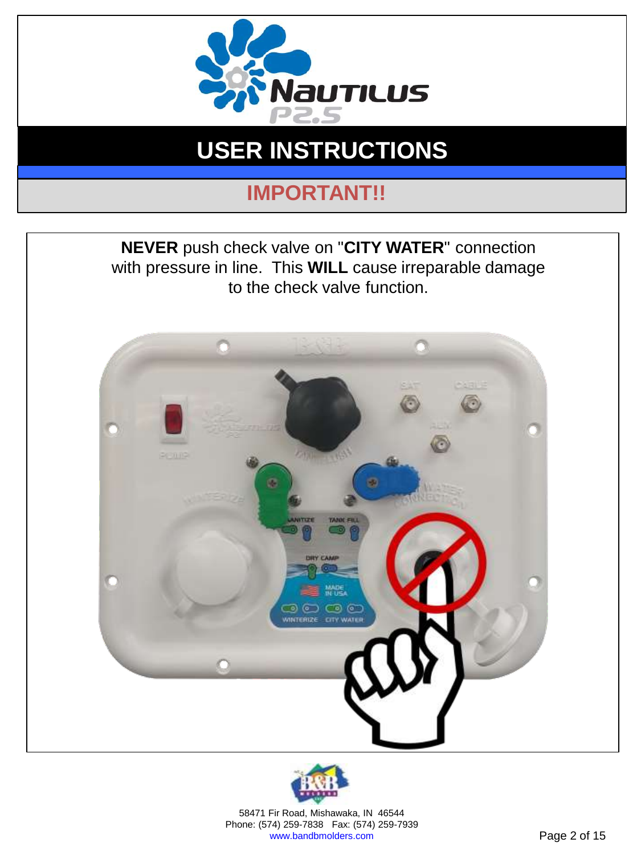

## **IMPORTANT!!**





58471 Fir Road, Mishawaka, IN 46544 Phone: (574) 259-7838 Fax: (574) 259-7939 www.bandbmolders.com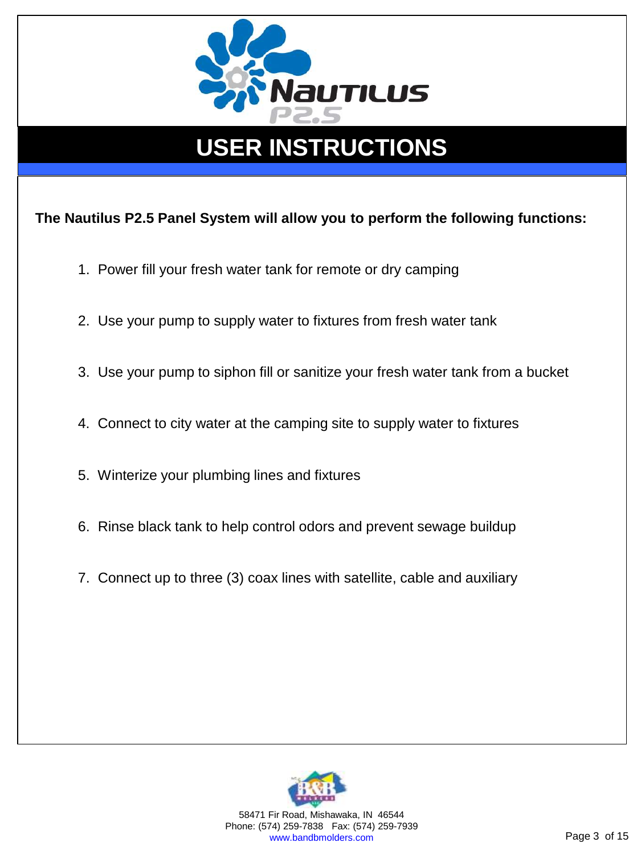

**The Nautilus P2.5 Panel System will allow you to perform the following functions:**

- 1. Power fill your fresh water tank for remote or dry camping
- 2. Use your pump to supply water to fixtures from fresh water tank
- 3. Use your pump to siphon fill or sanitize your fresh water tank from a bucket
- 4. Connect to city water at the camping site to supply water to fixtures
- 5. Winterize your plumbing lines and fixtures
- 6. Rinse black tank to help control odors and prevent sewage buildup
- 7. Connect up to three (3) coax lines with satellite, cable and auxiliary



58471 Fir Road, Mishawaka, IN 46544 Phone: (574) 259-7838 Fax: (574) 259-7939 www.bandbmolders.com **Page 3 of 15**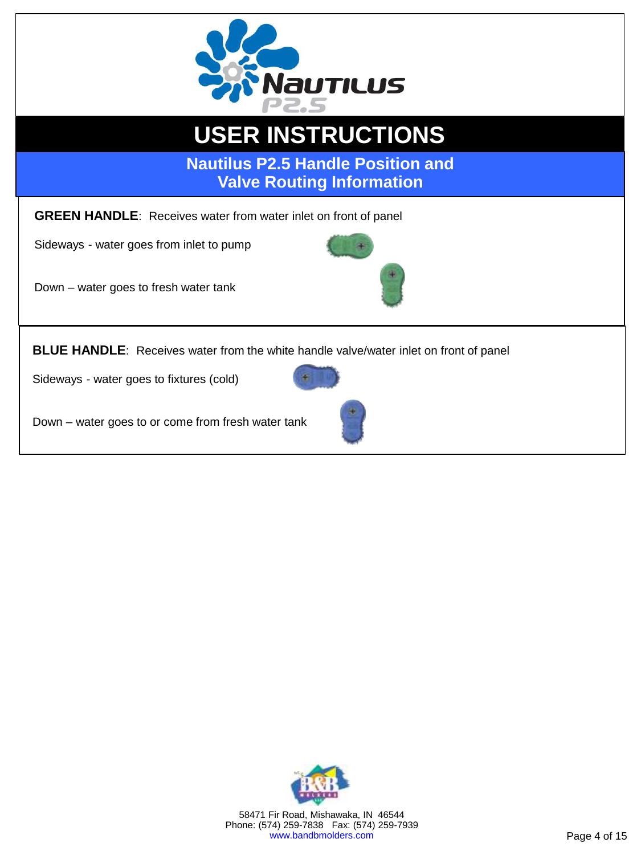

#### **INSTALLATION INSTRUCTIONS USER INSTRUCTIONS**

**Nautilus P2.5 Handle Position and Valve Routing Information**

**GREEN HANDLE**: Receives water from water inlet on front of panel

Sideways - water goes from inlet to pump

Down – water goes to fresh water tank



Sideways - water goes to fixtures (cold)



Down – water goes to or come from fresh water tank





58471 Fir Road, Mishawaka, IN 46544 Phone: (574) 259-7838 Fax: (574) 259-7939 www.bandbmolders.com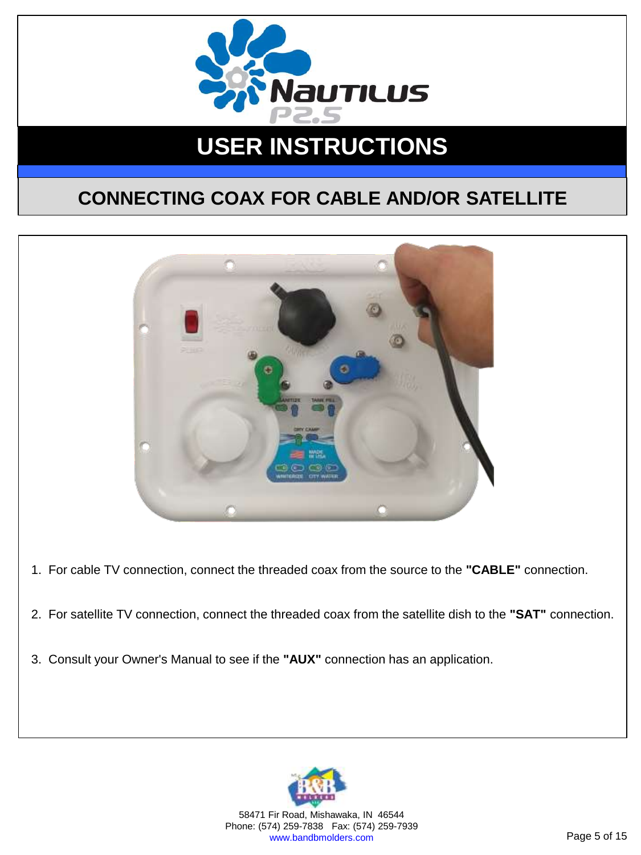

#### **CONNECTING COAX FOR CABLE AND/OR SATELLITE**



- 1. For cable TV connection, connect the threaded coax from the source to the **"CABLE"** connection.
- 2. For satellite TV connection, connect the threaded coax from the satellite dish to the **"SAT"** connection.
- 3. Consult your Owner's Manual to see if the **"AUX"** connection has an application.



58471 Fir Road, Mishawaka, IN 46544 Phone: (574) 259-7838 Fax: (574) 259-7939 www.bandbmolders.com **Page 5 of 15**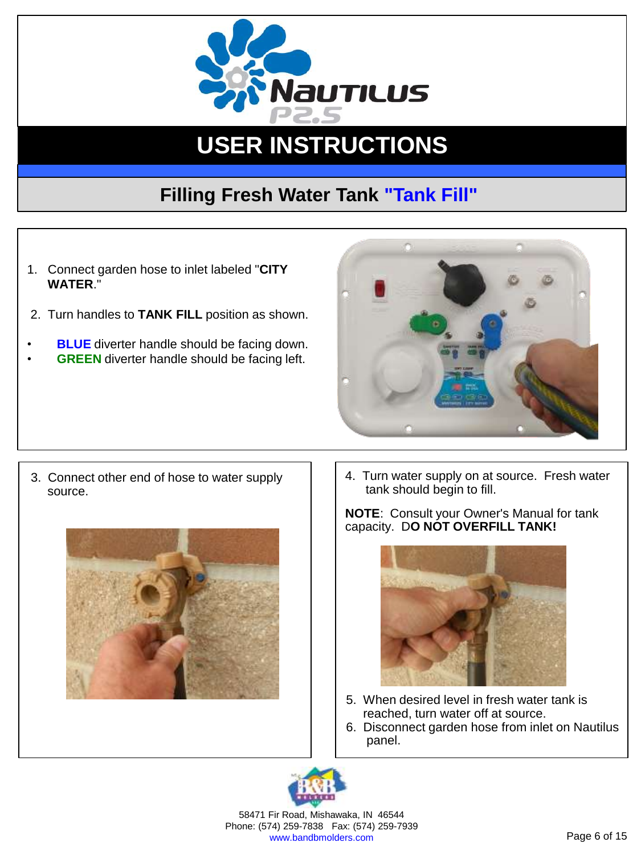

### **Filling Fresh Water Tank "Tank Fill"**

- 1. Connect garden hose to inlet labeled "**CITY WATER**."
- 2. Turn handles to **TANK FILL** position as shown.
- **BLUE** diverter handle should be facing down. **GREEN** diverter handle should be facing left.



3. Connect other end of hose to water supply source.



4. Turn water supply on at source. Fresh water tank should begin to fill.

**NOTE**: Consult your Owner's Manual for tank capacity. D**O NOT OVERFILL TANK!**



- 5. When desired level in fresh water tank is reached, turn water off at source.
- 6. Disconnect garden hose from inlet on Nautilus panel.



58471 Fir Road, Mishawaka, IN 46544 Phone: (574) 259-7838 Fax: (574) 259-7939 www.bandbmolders.com **Page 6 of 15**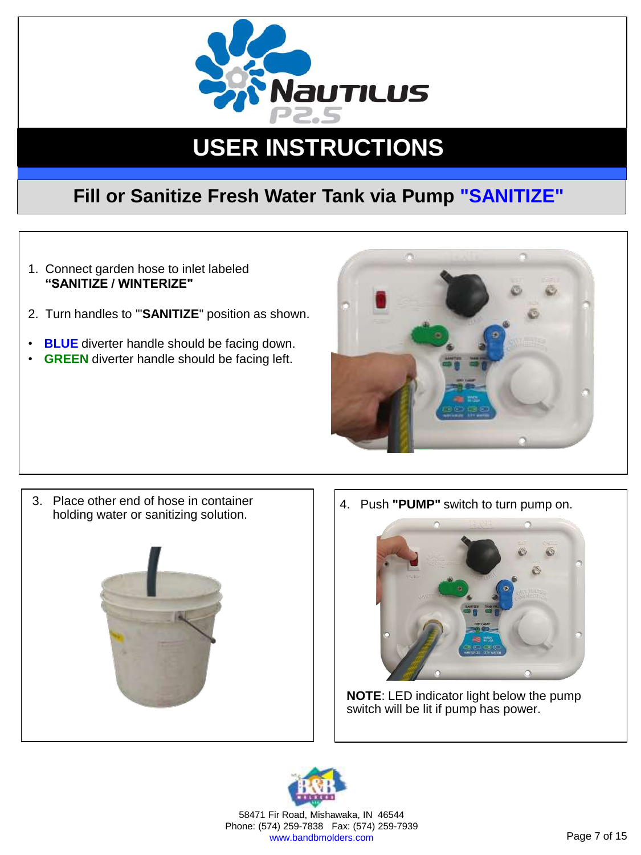

#### **Fill or Sanitize Fresh Water Tank via Pump "SANITIZE"**

- 1. Connect garden hose to inlet labeled **"SANITIZE / WINTERIZE"**
- 2. Turn handles to '"**SANITIZE**" position as shown.
- **BLUE** diverter handle should be facing down.
- **GREEN** diverter handle should be facing left.



3. Place other end of hose in container holding water or sanitizing solution.



4. Push **"PUMP"** switch to turn pump on.



**NOTE**: LED indicator light below the pump switch will be lit if pump has power.



58471 Fir Road, Mishawaka, IN 46544 Phone: (574) 259-7838 Fax: (574) 259-7939 www.bandbmolders.com **Page 7 of 15**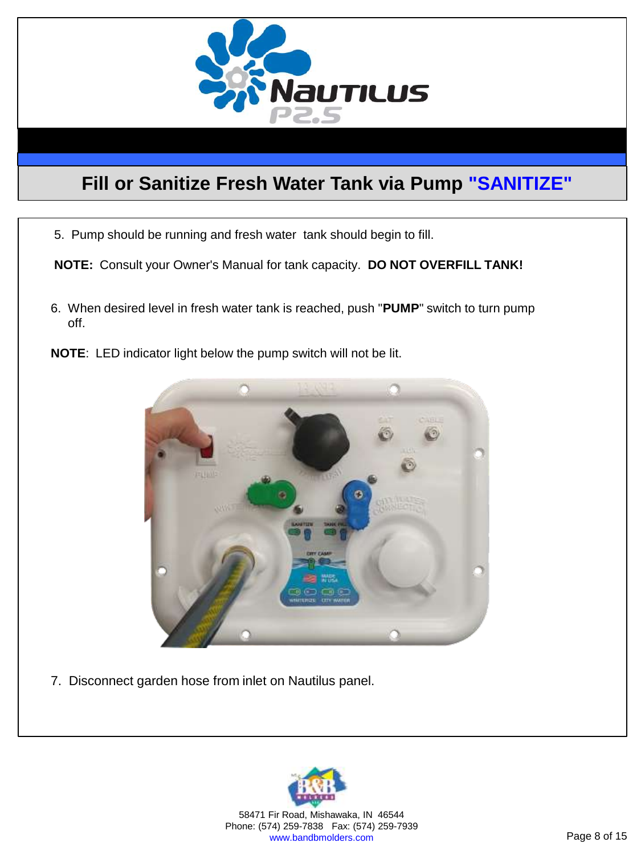

#### **Fill or Sanitize Fresh Water Tank via Pump "SANITIZE"**

<u>USER INSTRUCTIONS INSTRUCTIONS IN A SERIES OF THE SERIES OF THE SERIES OF THE SERIES OF THE SERIES OF THE SERIES OF THE SERIES OF THE SERIES OF THE SERIES OF THE SERIES OF THE SERIES OF THE SERIES OF THE SERIES OF THE SER</u>

5. Pump should be running and fresh water tank should begin to fill.

**NOTE:** Consult your Owner's Manual for tank capacity. **DO NOT OVERFILL TANK!**

- 6. When desired level in fresh water tank is reached, push "**PUMP**" switch to turn pump off.
- **NOTE**: LED indicator light below the pump switch will not be lit.



7. Disconnect garden hose from inlet on Nautilus panel.



58471 Fir Road, Mishawaka, IN 46544 Phone: (574) 259-7838 Fax: (574) 259-7939 www.bandbmolders.com Page 8 of 15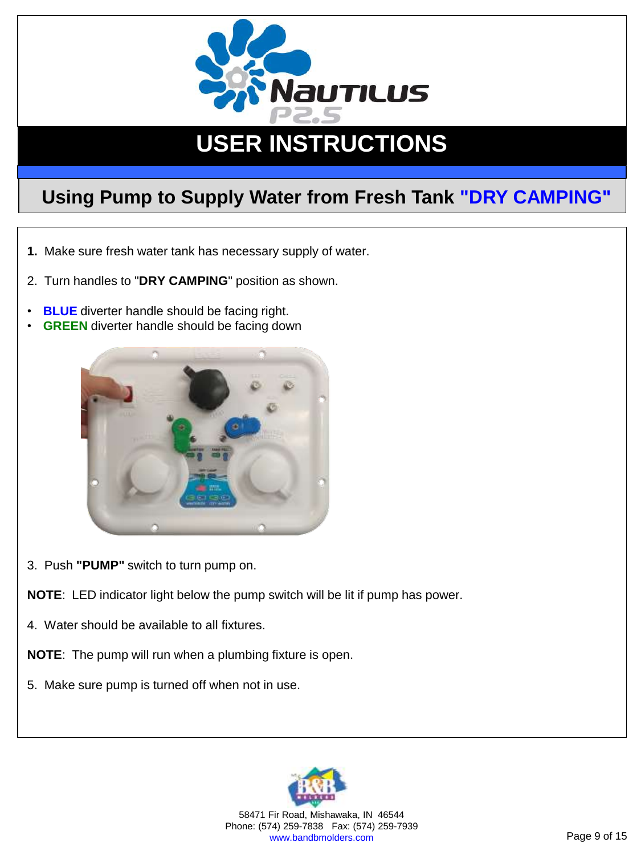

#### **Using Pump to Supply Water from Fresh Tank "DRY CAMPING"**

- **1.** Make sure fresh water tank has necessary supply of water.
- 2. Turn handles to "**DRY CAMPING**" position as shown.
- **BLUE** diverter handle should be facing right.
- **GREEN** diverter handle should be facing down



- 3. Push **"PUMP"** switch to turn pump on.
- **NOTE**: LED indicator light below the pump switch will be lit if pump has power.
- 4. Water should be available to all fixtures.
- **NOTE**: The pump will run when a plumbing fixture is open.
- 5. Make sure pump is turned off when not in use.



58471 Fir Road, Mishawaka, IN 46544 Phone: (574) 259-7838 Fax: (574) 259-7939 www.bandbmolders.com **Page 9 of 15**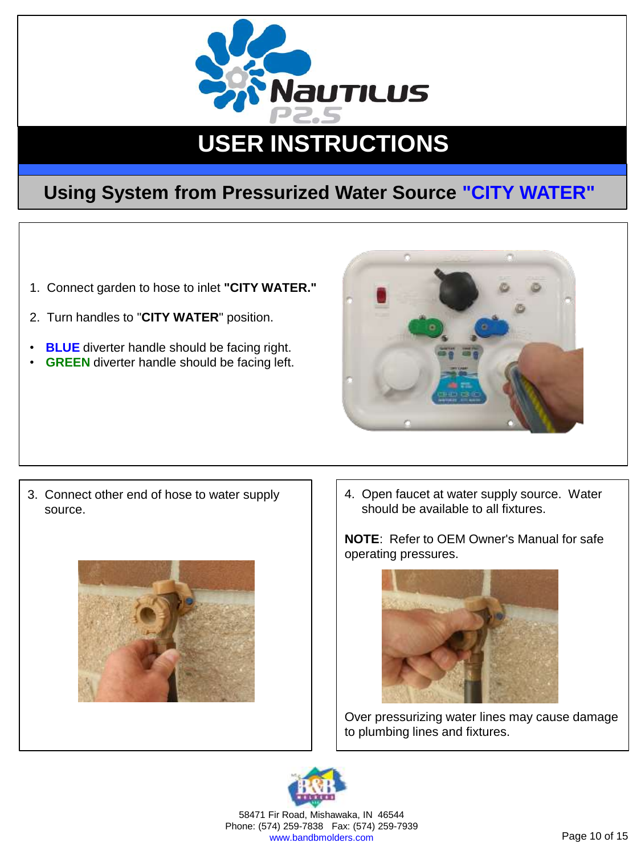

#### **Using System from Pressurized Water Source "CITY WATER"**

- 1. Connect garden to hose to inlet **"CITY WATER."**
- 2. Turn handles to "**CITY WATER**" position.
- **BLUE** diverter handle should be facing right.
- **GREEN** diverter handle should be facing left.



3. Connect other end of hose to water supply source.



4. Open faucet at water supply source. Water should be available to all fixtures.

**NOTE**: Refer to OEM Owner's Manual for safe operating pressures.



Over pressurizing water lines may cause damage to plumbing lines and fixtures.



58471 Fir Road, Mishawaka, IN 46544 Phone: (574) 259-7838 Fax: (574) 259-7939 www.bandbmolders.com **Page 10 of 15**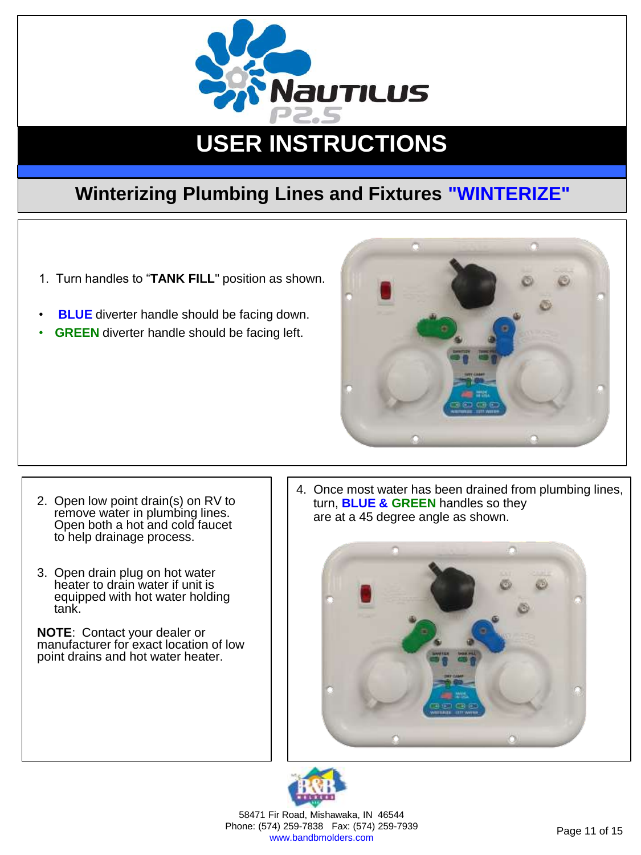

#### **Winterizing Plumbing Lines and Fixtures "WINTERIZE"**

- 1. Turn handles to "**TANK FILL**" position as shown.
- **BLUE** diverter handle should be facing down.
- **GREEN** diverter handle should be facing left.



- 2. Open low point drain(s) on RV to remove water in plumbing lines. Open both a hot and cold faucet to help drainage process.
- 3. Open drain plug on hot water heater to drain water if unit is equipped with hot water holding tank.

**NOTE**: Contact your dealer or manufacturer for exact location of low point drains and hot water heater.

4. Once most water has been drained from plumbing lines, turn, **BLUE & GREEN** handles so they are at a 45 degree angle as shown.





58471 Fir Road, Mishawaka, IN 46544 Phone: (574) 259-7838 Fax: (574) 259-7939 74) 259-7656 Fax. (574) 259-7959<br>www.bandbmolders.com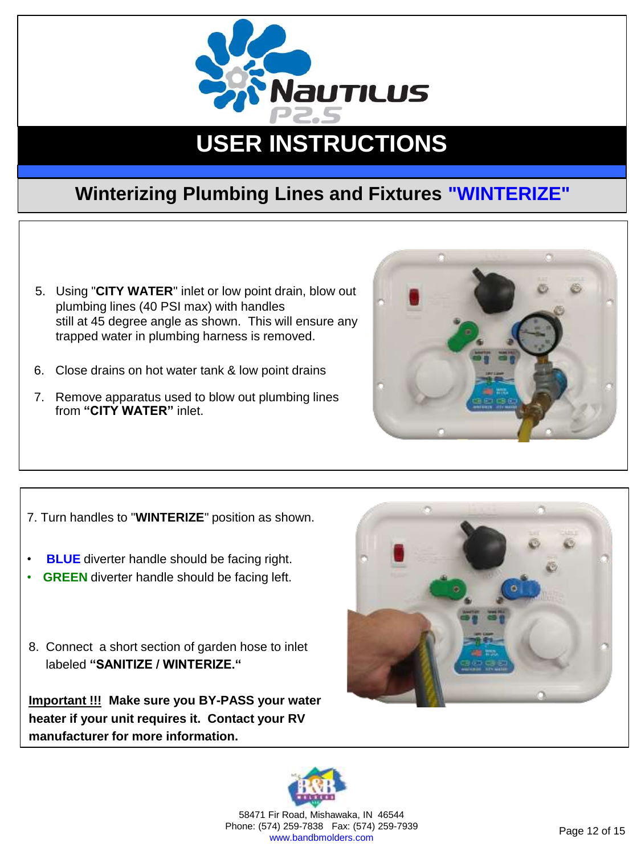

#### **Winterizing Plumbing Lines and Fixtures "WINTERIZE"**

- 5. Using "**CITY WATER**" inlet or low point drain, blow out plumbing lines (40 PSI max) with handles still at 45 degree angle as shown. This will ensure any trapped water in plumbing harness is removed.
- 6. Close drains on hot water tank & low point drains
- 7. Remove apparatus used to blow out plumbing lines from **"CITY WATER"** inlet.



- 7. Turn handles to "**WINTERIZE**" position as shown.
- **BLUE** diverter handle should be facing right.
- **GREEN** diverter handle should be facing left.
- 8. Connect a short section of garden hose to inlet labeled **"SANITIZE / WINTERIZE."**

**Important !!! Make sure you BY-PASS your water heater if your unit requires it. Contact your RV manufacturer for more information.**





58471 Fir Road, Mishawaka, IN 46544 Phone: (574) 259-7838 Fax: (574) 259-7939 74) 259-7656 Fax. (574) 259-7959<br>www.bandbmolders.com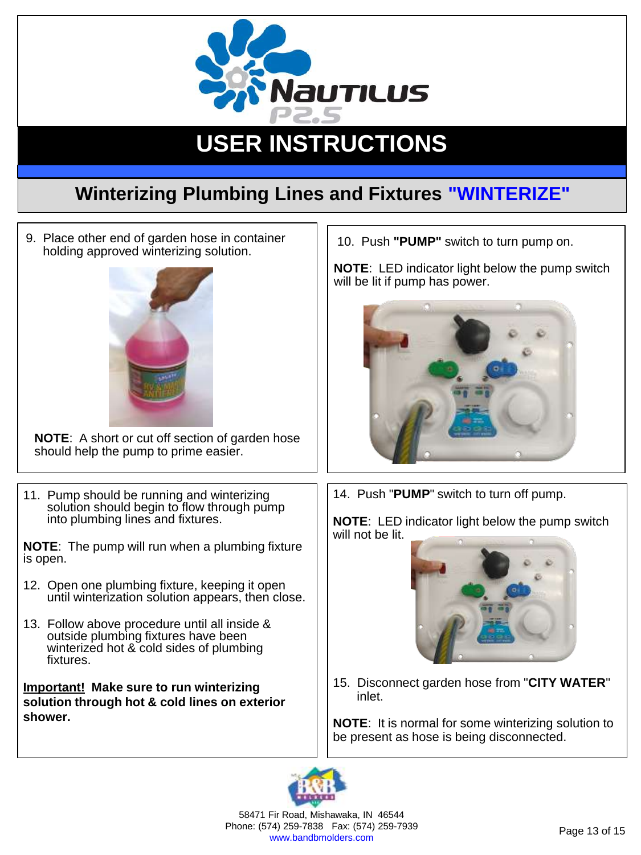

#### **Winterizing Plumbing Lines and Fixtures "WINTERIZE"**

9. Place other end of garden hose in container holding approved winterizing solution.



**NOTE**: A short or cut off section of garden hose should help the pump to prime easier.

11. Pump should be running and winterizing solution should begin to flow through pump into plumbing lines and fixtures.

**NOTE**: The pump will run when a plumbing fixture is open.

- 12. Open one plumbing fixture, keeping it open until winterization solution appears, then close.
- 13. Follow above procedure until all inside & outside plumbing fixtures have been winterized hot & cold sides of plumbing fixtures.

**Important! Make sure to run winterizing solution through hot & cold lines on exterior shower.**

10. Push **"PUMP"** switch to turn pump on.

**NOTE**: LED indicator light below the pump switch will be lit if pump has power.



14. Push "**PUMP**" switch to turn off pump.

**NOTE**: LED indicator light below the pump switch will not be lit.



15. Disconnect garden hose from "**CITY WATER**" inlet.

**NOTE**: It is normal for some winterizing solution to be present as hose is being disconnected.



58471 Fir Road, Mishawaka, IN 46544 Phone: (574) 259-7838 Fax: (574) 259-7939 74) 259-7656 Fax. (574) 259-7959<br>www.bandbmolders.com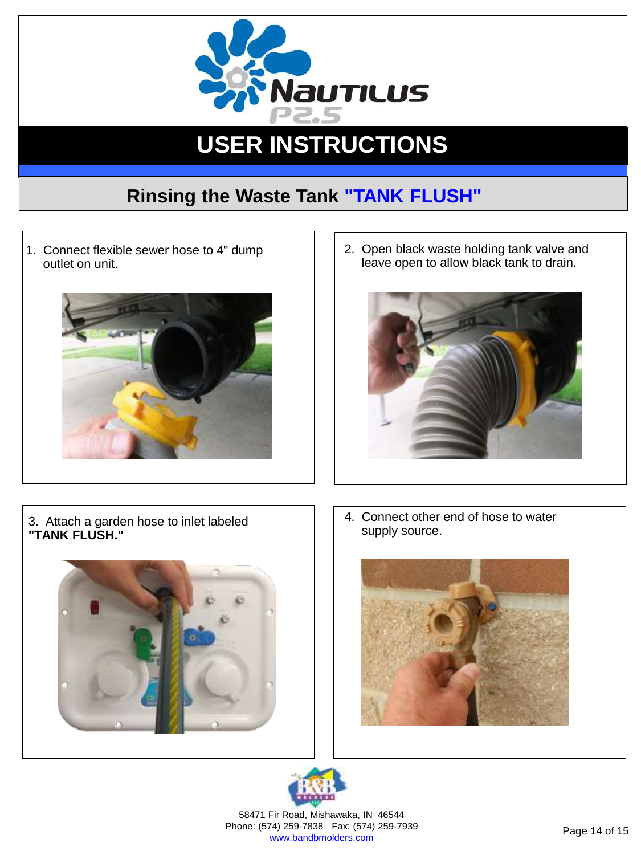

### **Rinsing the Waste Tank "TANK FLUSH"**

1. Connect flexible sewer hose to 4" dump outlet on unit.



2. Open black waste holding tank valve and leave open to allow black tank to drain.



3. Attach a garden hose to inlet labeled **"TANK FLUSH."**



4. Connect other end of hose to water supply source.





58471 Fir Road, Mishawaka, IN 46544 Phone: (574) 259-7838 Fax: (574) 259-7939 74) 259-7838 Fax: (574) 259-7939<br>www.bandbmolders.com Page 14 of 15